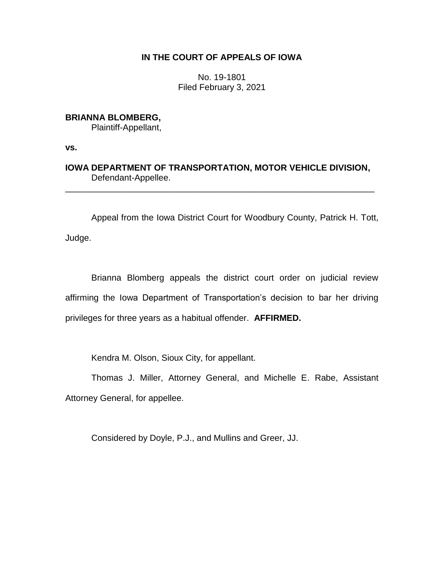# **IN THE COURT OF APPEALS OF IOWA**

No. 19-1801 Filed February 3, 2021

## **BRIANNA BLOMBERG,**

Plaintiff-Appellant,

**vs.**

**IOWA DEPARTMENT OF TRANSPORTATION, MOTOR VEHICLE DIVISION,** Defendant-Appellee.

\_\_\_\_\_\_\_\_\_\_\_\_\_\_\_\_\_\_\_\_\_\_\_\_\_\_\_\_\_\_\_\_\_\_\_\_\_\_\_\_\_\_\_\_\_\_\_\_\_\_\_\_\_\_\_\_\_\_\_\_\_\_\_\_

Appeal from the Iowa District Court for Woodbury County, Patrick H. Tott,

Judge.

Brianna Blomberg appeals the district court order on judicial review affirming the Iowa Department of Transportation's decision to bar her driving privileges for three years as a habitual offender. **AFFIRMED.**

Kendra M. Olson, Sioux City, for appellant.

Thomas J. Miller, Attorney General, and Michelle E. Rabe, Assistant Attorney General, for appellee.

Considered by Doyle, P.J., and Mullins and Greer, JJ.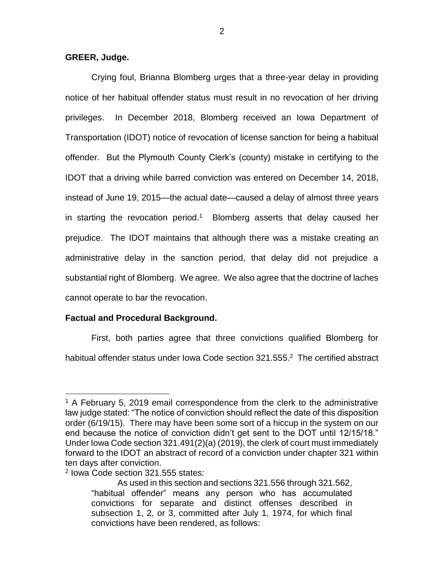## **GREER, Judge.**

Crying foul, Brianna Blomberg urges that a three-year delay in providing notice of her habitual offender status must result in no revocation of her driving privileges. In December 2018, Blomberg received an Iowa Department of Transportation (IDOT) notice of revocation of license sanction for being a habitual offender. But the Plymouth County Clerk's (county) mistake in certifying to the IDOT that a driving while barred conviction was entered on December 14, 2018, instead of June 19, 2015—the actual date—caused a delay of almost three years in starting the revocation period.<sup>1</sup> Blomberg asserts that delay caused her prejudice. The IDOT maintains that although there was a mistake creating an administrative delay in the sanction period, that delay did not prejudice a substantial right of Blomberg. We agree. We also agree that the doctrine of laches cannot operate to bar the revocation.

### **Factual and Procedural Background.**

First, both parties agree that three convictions qualified Blomberg for habitual offender status under Iowa Code section 321.555.<sup>2</sup> The certified abstract

 $\overline{a}$ 

 $1$  A February 5, 2019 email correspondence from the clerk to the administrative law judge stated: "The notice of conviction should reflect the date of this disposition order (6/19/15). There may have been some sort of a hiccup in the system on our end because the notice of conviction didn't get sent to the DOT until 12/15/18." Under Iowa Code section 321.491(2)(a) (2019), the clerk of court must immediately forward to the IDOT an abstract of record of a conviction under chapter 321 within ten days after conviction.

<sup>2</sup> Iowa Code section 321.555 states:

As used in this section and sections 321.556 through 321.562, "habitual offender" means any person who has accumulated convictions for separate and distinct offenses described in subsection 1, 2, or 3, committed after July 1, 1974, for which final convictions have been rendered, as follows: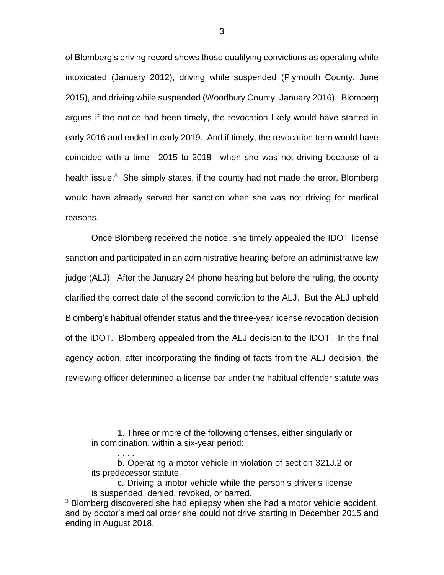of Blomberg's driving record shows those qualifying convictions as operating while intoxicated (January 2012), driving while suspended (Plymouth County, June 2015), and driving while suspended (Woodbury County, January 2016). Blomberg argues if the notice had been timely, the revocation likely would have started in early 2016 and ended in early 2019. And if timely, the revocation term would have coincided with a time—2015 to 2018—when she was not driving because of a health issue.<sup>3</sup> She simply states, if the county had not made the error, Blomberg would have already served her sanction when she was not driving for medical reasons.

Once Blomberg received the notice, she timely appealed the IDOT license sanction and participated in an administrative hearing before an administrative law judge (ALJ). After the January 24 phone hearing but before the ruling, the county clarified the correct date of the second conviction to the ALJ. But the ALJ upheld Blomberg's habitual offender status and the three-year license revocation decision of the IDOT. Blomberg appealed from the ALJ decision to the IDOT. In the final agency action, after incorporating the finding of facts from the ALJ decision, the reviewing officer determined a license bar under the habitual offender statute was

 $\overline{a}$ 

. . . .

<sup>1.</sup> Three or more of the following offenses, either singularly or in combination, within a six-year period:

b. Operating a motor vehicle in violation of section 321J.2 or its predecessor statute.

c. Driving a motor vehicle while the person's driver's license is suspended, denied, revoked, or barred.

<sup>&</sup>lt;sup>3</sup> Blomberg discovered she had epilepsy when she had a motor vehicle accident, and by doctor's medical order she could not drive starting in December 2015 and ending in August 2018.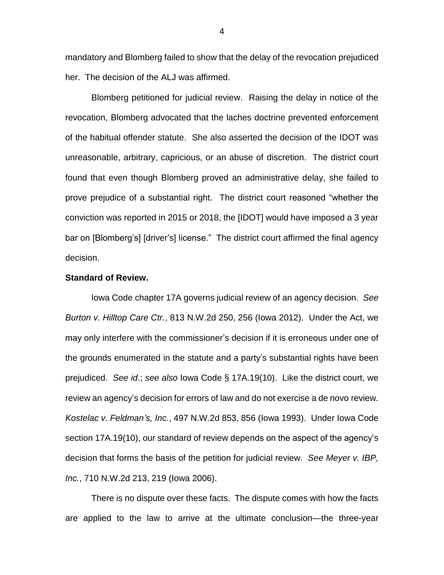mandatory and Blomberg failed to show that the delay of the revocation prejudiced her. The decision of the ALJ was affirmed.

Blomberg petitioned for judicial review. Raising the delay in notice of the revocation, Blomberg advocated that the laches doctrine prevented enforcement of the habitual offender statute. She also asserted the decision of the IDOT was unreasonable, arbitrary, capricious, or an abuse of discretion. The district court found that even though Blomberg proved an administrative delay, she failed to prove prejudice of a substantial right. The district court reasoned "whether the conviction was reported in 2015 or 2018, the [IDOT] would have imposed a 3 year bar on [Blomberg's] [driver's] license." The district court affirmed the final agency decision.

### **Standard of Review.**

Iowa Code chapter 17A governs judicial review of an agency decision. *See Burton v. Hilltop Care Ctr.*, 813 N.W.2d 250, 256 (Iowa 2012). Under the Act, we may only interfere with the commissioner's decision if it is erroneous under one of the grounds enumerated in the statute and a party's substantial rights have been prejudiced. *See id*.; *see also* Iowa Code § 17A.19(10). Like the district court, we review an agency's decision for errors of law and do not exercise a de novo review. *Kostelac v. Feldman's, Inc.*, 497 N.W.2d 853, 856 (Iowa 1993). Under Iowa Code section 17A.19(10), our standard of review depends on the aspect of the agency's decision that forms the basis of the petition for judicial review. *See Meyer v. IBP, Inc.*, 710 N.W.2d 213, 219 (Iowa 2006).

There is no dispute over these facts. The dispute comes with how the facts are applied to the law to arrive at the ultimate conclusion—the three-year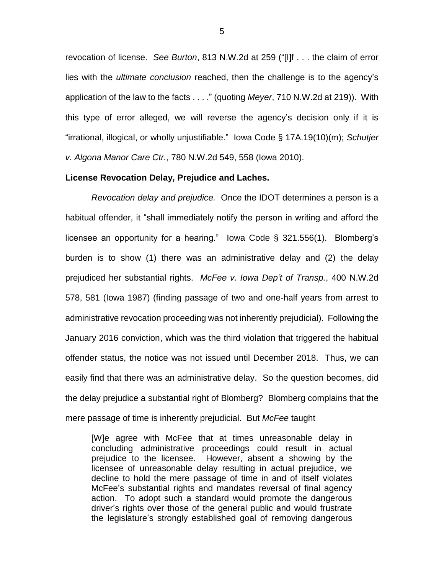revocation of license. *See Burton*, 813 N.W.2d at 259 ("[I]f . . . the claim of error lies with the *ultimate conclusion* reached, then the challenge is to the agency's application of the law to the facts . . . ." (quoting *Meyer*, 710 N.W.2d at 219)). With this type of error alleged, we will reverse the agency's decision only if it is "irrational, illogical, or wholly unjustifiable." Iowa Code § 17A.19(10)(m); *Schutjer v. Algona Manor Care Ctr.*, 780 N.W.2d 549, 558 (Iowa 2010).

#### **License Revocation Delay, Prejudice and Laches.**

*Revocation delay and prejudice.* Once the IDOT determines a person is a habitual offender, it "shall immediately notify the person in writing and afford the licensee an opportunity for a hearing." Iowa Code § 321.556(1). Blomberg's burden is to show (1) there was an administrative delay and (2) the delay prejudiced her substantial rights. *McFee v. Iowa Dep't of Transp.*, 400 N.W.2d 578, 581 (Iowa 1987) (finding passage of two and one-half years from arrest to administrative revocation proceeding was not inherently prejudicial). Following the January 2016 conviction, which was the third violation that triggered the habitual offender status, the notice was not issued until December 2018. Thus, we can easily find that there was an administrative delay. So the question becomes, did the delay prejudice a substantial right of Blomberg? Blomberg complains that the mere passage of time is inherently prejudicial. But *McFee* taught

[W]e agree with McFee that at times unreasonable delay in concluding administrative proceedings could result in actual prejudice to the licensee. However, absent a showing by the licensee of unreasonable delay resulting in actual prejudice, we decline to hold the mere passage of time in and of itself violates McFee's substantial rights and mandates reversal of final agency action. To adopt such a standard would promote the dangerous driver's rights over those of the general public and would frustrate the legislature's strongly established goal of removing dangerous

5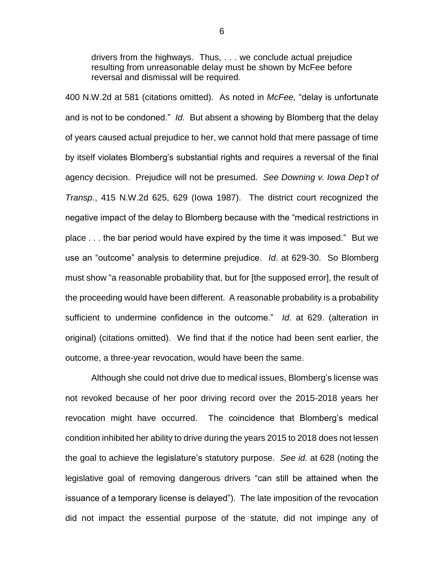drivers from the highways. Thus, . . . we conclude actual prejudice resulting from unreasonable delay must be shown by McFee before reversal and dismissal will be required.

400 N.W.2d at 581 (citations omitted). As noted in *McFee,* "delay is unfortunate and is not to be condoned." *Id.* But absent a showing by Blomberg that the delay of years caused actual prejudice to her, we cannot hold that mere passage of time by itself violates Blomberg's substantial rights and requires a reversal of the final agency decision. Prejudice will not be presumed. *See Downing v. Iowa Dep't of Transp.*, 415 N.W.2d 625, 629 (Iowa 1987). The district court recognized the negative impact of the delay to Blomberg because with the "medical restrictions in place . . . the bar period would have expired by the time it was imposed." But we use an "outcome" analysis to determine prejudice. *Id*. at 629-30. So Blomberg must show "a reasonable probability that, but for [the supposed error], the result of the proceeding would have been different. A reasonable probability is a probability sufficient to undermine confidence in the outcome." *Id.* at 629. (alteration in original) (citations omitted). We find that if the notice had been sent earlier, the outcome, a three-year revocation, would have been the same.

Although she could not drive due to medical issues, Blomberg's license was not revoked because of her poor driving record over the 2015-2018 years her revocation might have occurred. The coincidence that Blomberg's medical condition inhibited her ability to drive during the years 2015 to 2018 does not lessen the goal to achieve the legislature's statutory purpose. *See id.* at 628 (noting the legislative goal of removing dangerous drivers "can still be attained when the issuance of a temporary license is delayed"). The late imposition of the revocation did not impact the essential purpose of the statute, did not impinge any of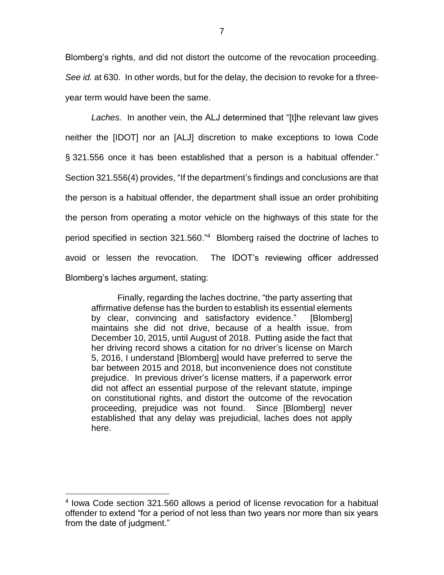Blomberg's rights, and did not distort the outcome of the revocation proceeding. *See id.* at 630. In other words, but for the delay, the decision to revoke for a threeyear term would have been the same.

*Laches.* In another vein, the ALJ determined that "[t]he relevant law gives neither the [IDOT] nor an [ALJ] discretion to make exceptions to Iowa Code § 321.556 once it has been established that a person is a habitual offender." Section 321.556(4) provides, "If the department's findings and conclusions are that the person is a habitual offender, the department shall issue an order prohibiting the person from operating a motor vehicle on the highways of this state for the period specified in section 321.560."<sup>4</sup> Blomberg raised the doctrine of laches to avoid or lessen the revocation. The IDOT's reviewing officer addressed Blomberg's laches argument, stating:

Finally, regarding the laches doctrine, "the party asserting that affirmative defense has the burden to establish its essential elements by clear, convincing and satisfactory evidence." [Blomberg] maintains she did not drive, because of a health issue, from December 10, 2015, until August of 2018. Putting aside the fact that her driving record shows a citation for no driver's license on March 5, 2016, I understand [Blomberg] would have preferred to serve the bar between 2015 and 2018, but inconvenience does not constitute prejudice. In previous driver's license matters, if a paperwork error did not affect an essential purpose of the relevant statute, impinge on constitutional rights, and distort the outcome of the revocation proceeding, prejudice was not found. Since [Blomberg] never established that any delay was prejudicial, laches does not apply here.

 $\overline{a}$ 

<sup>4</sup> Iowa Code section 321.560 allows a period of license revocation for a habitual offender to extend "for a period of not less than two years nor more than six years from the date of judgment."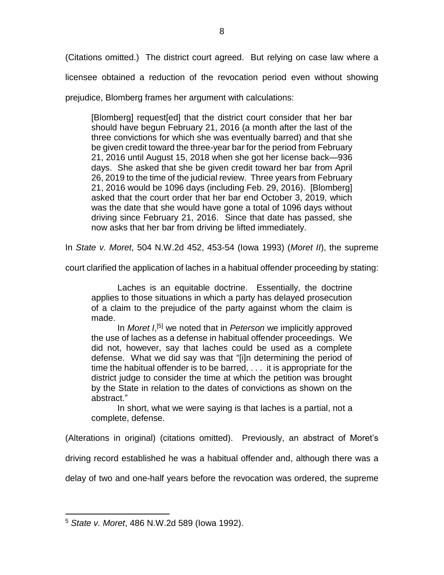(Citations omitted.) The district court agreed. But relying on case law where a licensee obtained a reduction of the revocation period even without showing

prejudice, Blomberg frames her argument with calculations:

[Blomberg] request[ed] that the district court consider that her bar should have begun February 21, 2016 (a month after the last of the three convictions for which she was eventually barred) and that she be given credit toward the three-year bar for the period from February 21, 2016 until August 15, 2018 when she got her license back—936 days. She asked that she be given credit toward her bar from April 26, 2019 to the time of the judicial review. Three years from February 21, 2016 would be 1096 days (including Feb. 29, 2016). [Blomberg] asked that the court order that her bar end October 3, 2019, which was the date that she would have gone a total of 1096 days without driving since February 21, 2016. Since that date has passed, she now asks that her bar from driving be lifted immediately.

In *State v. Moret*, 504 N.W.2d 452, 453-54 (Iowa 1993) (*Moret II*), the supreme

court clarified the application of laches in a habitual offender proceeding by stating:

Laches is an equitable doctrine. Essentially, the doctrine applies to those situations in which a party has delayed prosecution of a claim to the prejudice of the party against whom the claim is made.

In *Moret I*<sup>[5]</sup> we noted that in *Peterson* we implicitly approved the use of laches as a defense in habitual offender proceedings. We did not, however, say that laches could be used as a complete defense. What we did say was that "[i]n determining the period of time the habitual offender is to be barred, . . . it is appropriate for the district judge to consider the time at which the petition was brought by the State in relation to the dates of convictions as shown on the abstract."

In short, what we were saying is that laches is a partial, not a complete, defense.

(Alterations in original) (citations omitted). Previously, an abstract of Moret's

driving record established he was a habitual offender and, although there was a

delay of two and one-half years before the revocation was ordered, the supreme

 $\overline{a}$ <sup>5</sup> *State v. Moret*, 486 N.W.2d 589 (Iowa 1992).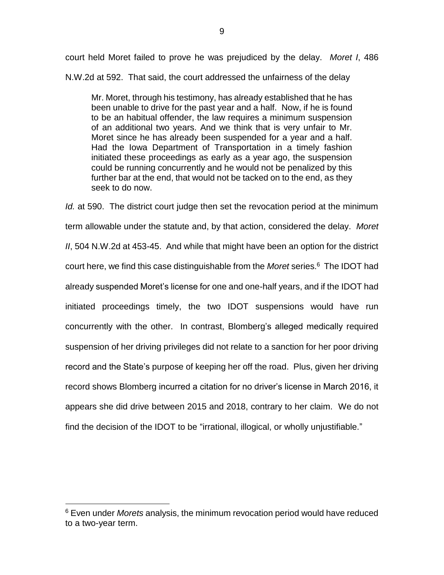court held Moret failed to prove he was prejudiced by the delay. *Moret I*, 486 N.W.2d at 592. That said, the court addressed the unfairness of the delay

Mr. Moret, through his testimony, has already established that he has been unable to drive for the past year and a half. Now, if he is found to be an habitual offender, the law requires a minimum suspension of an additional two years. And we think that is very unfair to Mr. Moret since he has already been suspended for a year and a half. Had the Iowa Department of Transportation in a timely fashion initiated these proceedings as early as a year ago, the suspension could be running concurrently and he would not be penalized by this further bar at the end, that would not be tacked on to the end, as they seek to do now.

*Id.* at 590. The district court judge then set the revocation period at the minimum term allowable under the statute and, by that action, considered the delay. *Moret II*, 504 N.W.2d at 453-45. And while that might have been an option for the district court here, we find this case distinguishable from the *Moret* series.<sup>6</sup> The IDOT had already suspended Moret's license for one and one-half years, and if the IDOT had initiated proceedings timely, the two IDOT suspensions would have run concurrently with the other. In contrast, Blomberg's alleged medically required suspension of her driving privileges did not relate to a sanction for her poor driving record and the State's purpose of keeping her off the road. Plus, given her driving record shows Blomberg incurred a citation for no driver's license in March 2016, it appears she did drive between 2015 and 2018, contrary to her claim. We do not find the decision of the IDOT to be "irrational, illogical, or wholly unjustifiable."

 $\overline{a}$ 

<sup>6</sup> Even under *Morets* analysis, the minimum revocation period would have reduced to a two-year term.